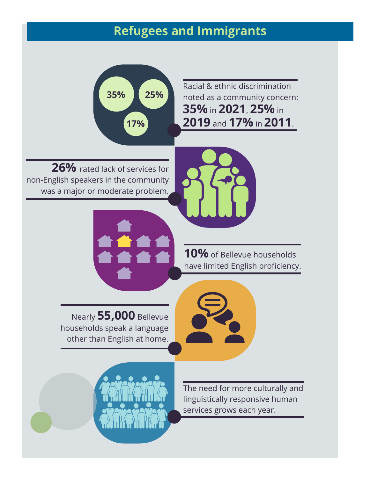### **Refugees and Immigrants**



**26%** rated lack of services for non-English speakers in the community was a major or moderate problem.

Racial & ethnic discrimination noted as a community concern: **35%** in **2021**, **25%** in **2019** and **17%** in **2011**.



**10%** of Bellevue households have limited English proficiency.

Nearly **55,000** Bellevue households speak a language other than English at home.





The need for more culturally and linguistically responsive human services grows each year.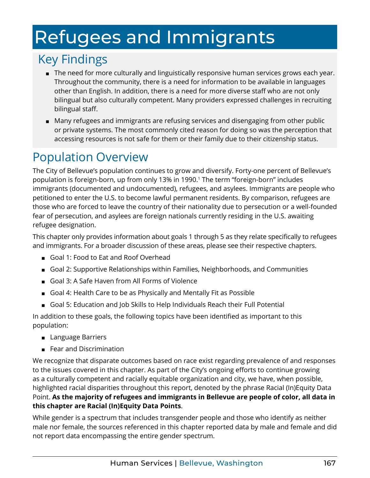# <span id="page-1-0"></span>Refugees and Immigrants

## Key Findings

- The need for more culturally and linguistically responsive human services grows each year. Throughout the community, there is a need for information to be available in languages other than English. In addition, there is a need for more diverse staff who are not only bilingual but also culturally competent. Many providers expressed challenges in recruiting bilingual staff.
- Many refugees and immigrants are refusing services and disengaging from other public or private systems. The most commonly cited reason for doing so was the perception that accessing resources is not safe for them or their family due to their citizenship status.

## Population Overview

The City of Bellevue's population continues to grow and diversify. Forty-one percent of Bellevue's population is foreign-born, up from only 13% in 1990.[1](#page-7-0) The term "foreign-born" includes immigrants (documented and undocumented), refugees, and asylees. Immigrants are people who petitioned to enter the U.S. to become lawful permanent residents. By comparison, refugees are those who are forced to leave the country of their nationality due to persecution or a well-founded fear of persecution, and asylees are foreign nationals currently residing in the U.S. awaiting refugee designation.

This chapter only provides information about goals 1 through 5 as they relate specifically to refugees and immigrants. For a broader discussion of these areas, please see their respective chapters.

- Goal 1: Food to Eat and Roof Overhead
- Goal 2: Supportive Relationships within Families, Neighborhoods, and Communities
- Goal 3: A Safe Haven from All Forms of Violence
- Goal 4: Health Care to be as Physically and Mentally Fit as Possible
- Goal 5: Education and Job Skills to Help Individuals Reach their Full Potential

In addition to these goals, the following topics have been identified as important to this population:

- Language Barriers
- Fear and Discrimination

We recognize that disparate outcomes based on race exist regarding prevalence of and responses to the issues covered in this chapter. As part of the City's ongoing efforts to continue growing as a culturally competent and racially equitable organization and city, we have, when possible, highlighted racial disparities throughout this report, denoted by the phrase Racial (In)Equity Data Point. **As the majority of refugees and immigrants in Bellevue are people of color, all data in this chapter are Racial (In)Equity Data Points**.

While gender is a spectrum that includes transgender people and those who identify as neither male nor female, the sources referenced in this chapter reported data by male and female and did not report data encompassing the entire gender spectrum.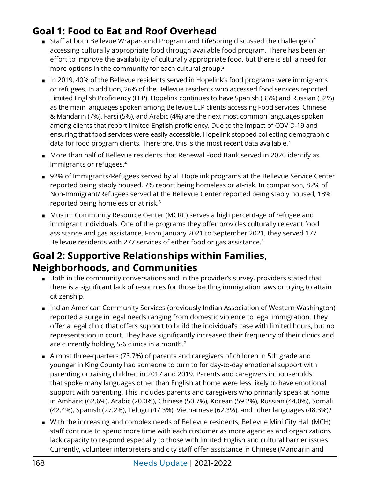#### <span id="page-2-0"></span>**Goal 1: Food to Eat and Roof Overhead**

- Staff at both Bellevue Wraparound Program and LifeSpring discussed the challenge of accessing culturally appropriate food through available food program. There has been an effort to improve the availability of culturally appropriate food, but there is still a need for more options in the community for each cultural group.<sup>2</sup>
- In 2019, 40% of the Bellevue residents served in Hopelink's food programs were immigrants or refugees. In addition, 26% of the Bellevue residents who accessed food services reported Limited English Proficiency (LEP). Hopelink continues to have Spanish (35%) and Russian (32%) as the main languages spoken among Bellevue LEP clients accessing Food services. Chinese & Mandarin (7%), Farsi (5%), and Arabic (4%) are the next most common languages spoken among clients that report limited English proficiency. Due to the impact of COVID-19 and ensuring that food services were easily accessible, Hopelink stopped collecting demographic data for food program clients. Therefore, this is the most recent data available.<sup>3</sup>
- More than half of Bellevue residents that Renewal Food Bank served in 2020 identify as immigrants or refugees[.4](#page-7-0)
- 92% of Immigrants/Refugees served by all Hopelink programs at the Bellevue Service Center reported being stably housed, 7% report being homeless or at-risk. In comparison, 82% of Non-Immigrant/Refugees served at the Bellevue Center reported being stably housed, 18% reported being homeless or at risk.[5](#page-7-0)
- Muslim Community Resource Center (MCRC) serves a high percentage of refugee and immigrant individuals. One of the programs they offer provides culturally relevant food assistance and gas assistance. From January 2021 to September 2021, they served 177 Bellevue residents with 277 services of either food or gas assistance.<sup>[6](#page-7-0)</sup>

#### **Goal 2: Supportive Relationships within Families, Neighborhoods, and Communities**

- Both in the community conversations and in the provider's survey, providers stated that there is a significant lack of resources for those battling immigration laws or trying to attain citizenship.
- Indian American Community Services (previously Indian Association of Western Washington) reported a surge in legal needs ranging from domestic violence to legal immigration. They offer a legal clinic that offers support to build the individual's case with limited hours, but no representation in court. They have significantly increased their frequency of their clinics and are currently holding 5-6 clinics in a month[.7](#page-7-0)
- Almost three-quarters (73.7%) of parents and caregivers of children in 5th grade and younger in King County had someone to turn to for day-to-day emotional support with parenting or raising children in 2017 and 2019. Parents and caregivers in households that spoke many languages other than English at home were less likely to have emotional support with parenting. This includes parents and caregivers who primarily speak at home in Amharic (62.6%), Arabic (20.0%), Chinese (50.7%), Korean (59.2%), Russian (44.0%), Somali (42.4%), Spanish (27.2%), Telugu (47.3%), Vietnamese (62.3%), and other languages (48.3%).[8](#page-7-0)
- With the increasing and complex needs of Bellevue residents, Bellevue Mini City Hall (MCH) staff continue to spend more time with each customer as more agencies and organizations lack capacity to respond especially to those with limited English and cultural barrier issues. Currently, volunteer interpreters and city staff offer assistance in Chinese (Mandarin and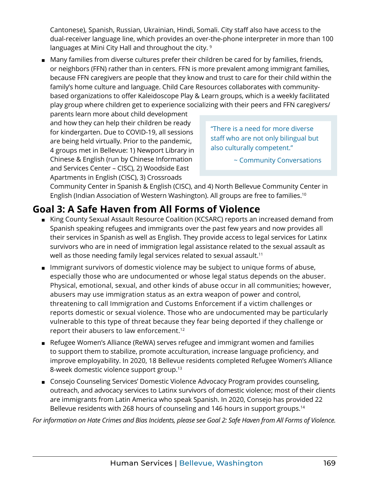<span id="page-3-0"></span>Cantonese), Spanish, Russian, Ukrainian, Hindi, Somali. City staff also have access to the dual-receiver language line, which provides an over-the-phone interpreter in more than 100 languages at Mini City Hall and throughout the city. [9](#page-7-0)

■ Many families from diverse cultures prefer their children be cared for by families, friends, or neighbors (FFN) rather than in centers. FFN is more prevalent among immigrant families, because FFN caregivers are people that they know and trust to care for their child within the family's home culture and language. Child Care Resources collaborates with communitybased organizations to offer Kaleidoscope Play & Learn groups, which is a weekly facilitated play group where children get to experience socializing with their peers and FFN caregivers/

parents learn more about child development and how they can help their children be ready for kindergarten. Due to COVID-19, all sessions are being held virtually. Prior to the pandemic, 4 groups met in Bellevue: 1) Newport Library in Chinese & English (run by Chinese Information and Services Center – CISC), 2) Woodside East Apartments in English (CISC), 3) Crossroads

"There is a need for more diverse staff who are not only bilingual but also culturally competent."

~ Community Conversations

Community Center in Spanish & English (CISC), and 4) North Bellevue Community Center in English (Indian Association of Western Washington). All groups are free to families.[10](#page-7-0)

#### **Goal 3: A Safe Haven from All Forms of Violence**

- King County Sexual Assault Resource Coalition (KCSARC) reports an increased demand from Spanish speaking refugees and immigrants over the past few years and now provides all their services in Spanish as well as English. They provide access to legal services for Latinx survivors who are in need of immigration legal assistance related to the sexual assault as well as those needing family legal services related to sexual assault.<sup>11</sup>
- Immigrant survivors of domestic violence may be subject to unique forms of abuse, especially those who are undocumented or whose legal status depends on the abuser. Physical, emotional, sexual, and other kinds of abuse occur in all communities; however, abusers may use immigration status as an extra weapon of power and control, threatening to call Immigration and Customs Enforcement if a victim challenges or reports domestic or sexual violence. Those who are undocumented may be particularly vulnerable to this type of threat because they fear being deported if they challenge or report their abusers to law enforcement[.12](#page-7-0)
- Refugee Women's Alliance (ReWA) serves refugee and immigrant women and families to support them to stabilize, promote acculturation, increase language proficiency, and improve employability. In 2020, 18 Bellevue residents completed Refugee Women's Alliance 8-week domestic violence support group[.13](#page-7-0)
- Consejo Counseling Services' Domestic Violence Advocacy Program provides counseling, outreach, and advocacy services to Latinx survivors of domestic violence; most of their clients are immigrants from Latin America who speak Spanish. In 2020, Consejo has provided 22 Bellevue residents with 268 hours of counseling and 146 hours in support groups.<sup>14</sup>

*For information on Hate Crimes and Bias Incidents, please see Goal 2: Safe Haven from All Forms of Violence.*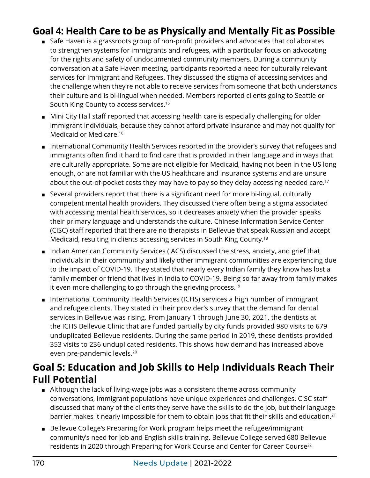#### <span id="page-4-0"></span>**Goal 4: Health Care to be as Physically and Mentally Fit as Possible**

- Safe Haven is a grassroots group of non-profit providers and advocates that collaborates to strengthen systems for immigrants and refugees, with a particular focus on advocating for the rights and safety of undocumented community members. During a community conversation at a Safe Haven meeting, participants reported a need for culturally relevant services for Immigrant and Refugees. They discussed the stigma of accessing services and the challenge when they're not able to receive services from someone that both understands their culture and is bi-lingual when needed. Members reported clients going to Seattle or South King County to access services.[15](#page-7-0)
- Mini City Hall staff reported that accessing health care is especially challenging for older immigrant individuals, because they cannot afford private insurance and may not qualify for Medicaid or Medicare.[16](#page-7-0)
- International Community Health Services reported in the provider's survey that refugees and immigrants often find it hard to find care that is provided in their language and in ways that are culturally appropriate. Some are not eligible for Medicaid, having not been in the US long enough, or are not familiar with the US healthcare and insurance systems and are unsure about the out-of-pocket costs they may have to pay so they delay accessing needed care.<sup>17</sup>
- Several providers report that there is a significant need for more bi-lingual, culturally competent mental health providers. They discussed there often being a stigma associated with accessing mental health services, so it decreases anxiety when the provider speaks their primary language and understands the culture. Chinese Information Service Center (CISC) staff reported that there are no therapists in Bellevue that speak Russian and accept Medicaid, resulting in clients accessing services in South King County[.18](#page-7-0)
- Indian American Community Services (IACS) discussed the stress, anxiety, and grief that individuals in their community and likely other immigrant communities are experiencing due to the impact of COVID-19. They stated that nearly every Indian family they know has lost a family member or friend that lives in India to COVID-19. Being so far away from family makes it even more challenging to go through the grieving process.<sup>19</sup>
- International Community Health Services (ICHS) services a high number of immigrant and refugee clients. They stated in their provider's survey that the demand for dental services in Bellevue was rising. From January 1 through June 30, 2021, the dentists at the ICHS Bellevue Clinic that are funded partially by city funds provided 980 visits to 679 unduplicated Bellevue residents. During the same period in 2019, these dentists provided 353 visits to 236 unduplicated residents. This shows how demand has increased above even pre-pandemic levels[.20](#page-7-0)

#### **Goal 5: Education and Job Skills to Help Individuals Reach Their Full Potential**

- Although the lack of living-wage jobs was a consistent theme across community conversations, immigrant populations have unique experiences and challenges. CISC staff discussed that many of the clients they serve have the skills to do the job, but their language barrier makes it nearly impossible for them to obtain jobs that fit their skills and education.<sup>[21](#page-7-0)</sup>
- Bellevue College's Preparing for Work program helps meet the refugee/immigrant community's need for job and English skills training. Bellevue College served 680 Bellevue residents in 2020 through Preparing for Work Course and Center for Career Course<sup>[22](#page-7-0)</sup>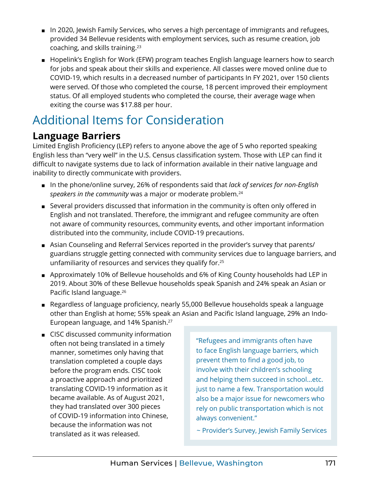- <span id="page-5-0"></span>■ In 2020, Jewish Family Services, who serves a high percentage of immigrants and refugees, provided 34 Bellevue residents with employment services, such as resume creation, job coaching, and skills training.[23](#page-7-0)
- Hopelink's English for Work (EFW) program teaches English language learners how to search for jobs and speak about their skills and experience. All classes were moved online due to COVID-19, which results in a decreased number of participants In FY 2021, over 150 clients were served. Of those who completed the course, 18 percent improved their employment status. Of all employed students who completed the course, their average wage when exiting the course was \$17.88 per hour.

## Additional Items for Consideration

#### **Language Barriers**

Limited English Proficiency (LEP) refers to anyone above the age of 5 who reported speaking English less than "very well" in the U.S. Census classification system. Those with LEP can find it difficult to navigate systems due to lack of information available in their native language and inability to directly communicate with providers.

- In the phone/online survey, 26% of respondents said that *lack of services for non-English* speakers in the community was a major or moderate problem.<sup>[24](#page-7-0)</sup>
- Several providers discussed that information in the community is often only offered in English and not translated. Therefore, the immigrant and refugee community are often not aware of community resources, community events, and other important information distributed into the community, include COVID-19 precautions.
- Asian Counseling and Referral Services reported in the provider's survey that parents/ guardians struggle getting connected with community services due to language barriers, and unfamiliarity of resources and services they qualify for.<sup>[25](#page-7-0)</sup>
- Approximately 10% of Bellevue households and 6% of King County households had LEP in 2019. About 30% of these Bellevue households speak Spanish and 24% speak an Asian or Pacific Island language.[26](#page-7-0)
- Regardless of language proficiency, nearly 55,000 Bellevue households speak a language other than English at home; 55% speak an Asian and Pacific Island language, 29% an Indo-European language, and 14% Spanish[.27](#page-7-0)
- CISC discussed community information often not being translated in a timely manner, sometimes only having that translation completed a couple days before the program ends. CISC took a proactive approach and prioritized translating COVID-19 information as it became available. As of August 2021, they had translated over 300 pieces of COVID-19 information into Chinese, because the information was not translated as it was released.

"Refugees and immigrants often have to face English language barriers, which prevent them to find a good job, to involve with their children's schooling and helping them succeed in school…etc. just to name a few. Transportation would also be a major issue for newcomers who rely on public transportation which is not always convenient."

~ Provider's Survey, Jewish Family Services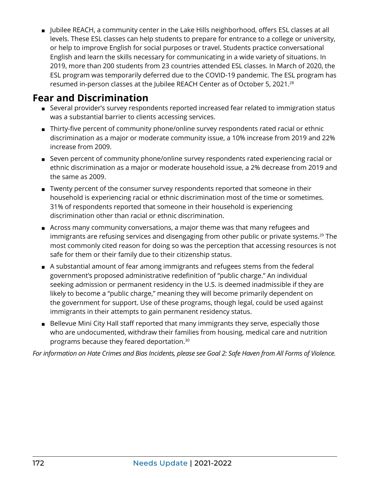<span id="page-6-0"></span>■ Jubilee REACH, a community center in the Lake Hills neighborhood, offers ESL classes at all levels. These ESL classes can help students to prepare for entrance to a college or university, or help to improve English for social purposes or travel. Students practice conversational English and learn the skills necessary for communicating in a wide variety of situations. In 2019, more than 200 students from 23 countries attended ESL classes. In March of 2020, the ESL program was temporarily deferred due to the COVID-19 pandemic. The ESL program has resumed in-person classes at the Jubilee REACH Center as of October 5, 2021[.28](#page-7-0)

#### **Fear and Discrimination**

- Several provider's survey respondents reported increased fear related to immigration status was a substantial barrier to clients accessing services.
- Thirty-five percent of community phone/online survey respondents rated racial or ethnic discrimination as a major or moderate community issue, a 10% increase from 2019 and 22% increase from 2009.
- Seven percent of community phone/online survey respondents rated experiencing racial or ethnic discrimination as a major or moderate household issue, a 2% decrease from 2019 and the same as 2009.
- Twenty percent of the consumer survey respondents reported that someone in their household is experiencing racial or ethnic discrimination most of the time or sometimes. 31% of respondents reported that someone in their household is experiencing discrimination other than racial or ethnic discrimination.
- Across many community conversations, a major theme was that many refugees and immigrants are refusing services and disengaging from other public or private systems.<sup>[29](#page-7-0)</sup> The most commonly cited reason for doing so was the perception that accessing resources is not safe for them or their family due to their citizenship status.
- A substantial amount of fear among immigrants and refugees stems from the federal government's proposed administrative redefinition of "public charge." An individual seeking admission or permanent residency in the U.S. is deemed inadmissible if they are likely to become a "public charge," meaning they will become primarily dependent on the government for support. Use of these programs, though legal, could be used against immigrants in their attempts to gain permanent residency status.
- Bellevue Mini City Hall staff reported that many immigrants they serve, especially those who are undocumented, withdraw their families from housing, medical care and nutrition programs because they feared deportation[.30](#page-7-0)

*For information on Hate Crimes and Bias Incidents, please see Goal 2: Safe Haven from All Forms of Violence.*